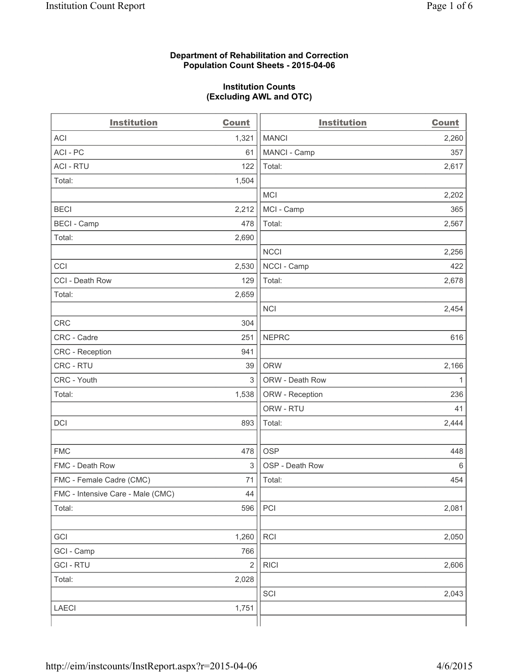### **Department of Rehabilitation and Correction Population Count Sheets - 2015-04-06**

#### **Institution Counts (Excluding AWL and OTC)**

| <b>Institution</b>                | <b>Count</b>   | <b>Institution</b> | <b>Count</b> |
|-----------------------------------|----------------|--------------------|--------------|
| <b>ACI</b>                        | 1,321          | <b>MANCI</b>       | 2,260        |
| ACI-PC                            | 61             | MANCI - Camp       | 357          |
| <b>ACI - RTU</b>                  | 122            | Total:             | 2,617        |
| Total:                            | 1,504          |                    |              |
|                                   |                | <b>MCI</b>         | 2,202        |
| <b>BECI</b>                       | 2,212          | MCI - Camp         | 365          |
| <b>BECI - Camp</b>                | 478            | Total:             | 2,567        |
| Total:                            | 2,690          |                    |              |
|                                   |                | <b>NCCI</b>        | 2,256        |
| CCI                               | 2,530          | NCCI - Camp        | 422          |
| CCI - Death Row                   | 129            | Total:             | 2,678        |
| Total:                            | 2,659          |                    |              |
|                                   |                | <b>NCI</b>         | 2,454        |
| <b>CRC</b>                        | 304            |                    |              |
| CRC - Cadre                       | 251            | <b>NEPRC</b>       | 616          |
| CRC - Reception                   | 941            |                    |              |
| CRC - RTU                         | 39             | <b>ORW</b>         | 2,166        |
| CRC - Youth                       | 3              | ORW - Death Row    | $\mathbf{1}$ |
| Total:                            | 1,538          | ORW - Reception    | 236          |
|                                   |                | ORW - RTU          | 41           |
| DCI                               | 893            | Total:             | 2,444        |
|                                   |                |                    |              |
| <b>FMC</b>                        | 478            | <b>OSP</b>         | 448          |
| FMC - Death Row                   | 3              | OSP - Death Row    | 6            |
| FMC - Female Cadre (CMC)          | 71             | Total:             | 454          |
| FMC - Intensive Care - Male (CMC) | 44             |                    |              |
| Total:                            | 596            | PCI                | 2,081        |
|                                   |                |                    |              |
| GCI                               | 1,260          | RCI                | 2,050        |
| GCI - Camp                        | 766            |                    |              |
| <b>GCI-RTU</b>                    | $\overline{2}$ | <b>RICI</b>        | 2,606        |
| Total:                            | 2,028          |                    |              |
|                                   |                | SCI                | 2,043        |
| LAECI                             | 1,751          |                    |              |
|                                   |                |                    |              |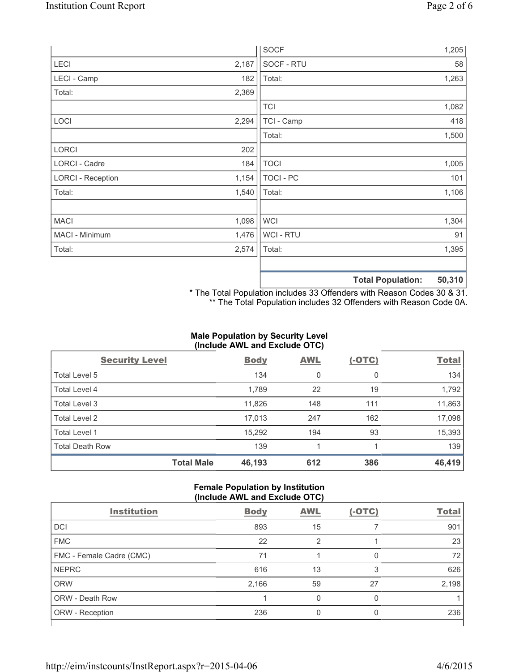|                          |       | <b>SOCF</b>      | 1,205 |
|--------------------------|-------|------------------|-------|
| LECI                     | 2,187 | SOCF - RTU       | 58    |
| LECI - Camp              | 182   | Total:           | 1,263 |
| Total:                   | 2,369 |                  |       |
|                          |       | <b>TCI</b>       | 1,082 |
| LOCI                     | 2,294 | TCI - Camp       | 418   |
|                          |       | Total:           | 1,500 |
| <b>LORCI</b>             | 202   |                  |       |
| LORCI - Cadre            | 184   | <b>TOCI</b>      | 1,005 |
| <b>LORCI - Reception</b> | 1,154 | <b>TOCI - PC</b> | 101   |
| Total:                   | 1,540 | Total:           | 1,106 |
|                          |       |                  |       |
| <b>MACI</b>              | 1,098 | <b>WCI</b>       | 1,304 |
| MACI - Minimum           | 1,476 | WCI - RTU        | 91    |
| Total:                   | 2,574 | Total:           | 1,395 |
|                          |       |                  |       |
|                          |       |                  | .     |

**Total Population: 50,310**

\* The Total Population includes 33 Offenders with Reason Codes 30 & 31. \*\* The Total Population includes 32 Offenders with Reason Code 0A.

# **Male Population by Security Level (Include AWL and Exclude OTC)**

| <b>Security Level</b>  |                   | <b>Body</b> | <b>AWL</b> | $(-OTC)$ | <b>Total</b> |
|------------------------|-------------------|-------------|------------|----------|--------------|
| Total Level 5          |                   | 134         | 0          | 0        | 134          |
| <b>Total Level 4</b>   |                   | 1,789       | 22         | 19       | 1,792        |
| Total Level 3          |                   | 11,826      | 148        | 111      | 11,863       |
| Total Level 2          |                   | 17,013      | 247        | 162      | 17,098       |
| <b>Total Level 1</b>   |                   | 15,292      | 194        | 93       | 15,393       |
| <b>Total Death Row</b> |                   | 139         | 1          |          | 139          |
|                        | <b>Total Male</b> | 46,193      | 612        | 386      | 46,419       |

#### **Female Population by Institution (Include AWL and Exclude OTC)**

| <b>Institution</b>       | <b>Body</b> | <b>AWL</b> | $(-OTC)$ | <b>Total</b> |
|--------------------------|-------------|------------|----------|--------------|
| <b>DCI</b>               | 893         | 15         |          | 901          |
| <b>FMC</b>               | 22          | 2          |          | 23           |
| FMC - Female Cadre (CMC) | 71          |            | 0        | 72           |
| <b>NEPRC</b>             | 616         | 13         | 3        | 626          |
| <b>ORW</b>               | 2,166       | 59         | 27       | 2,198        |
| <b>ORW - Death Row</b>   |             | 0          | 0        |              |
| ORW - Reception          | 236         |            | 0        | 236          |
|                          |             |            |          |              |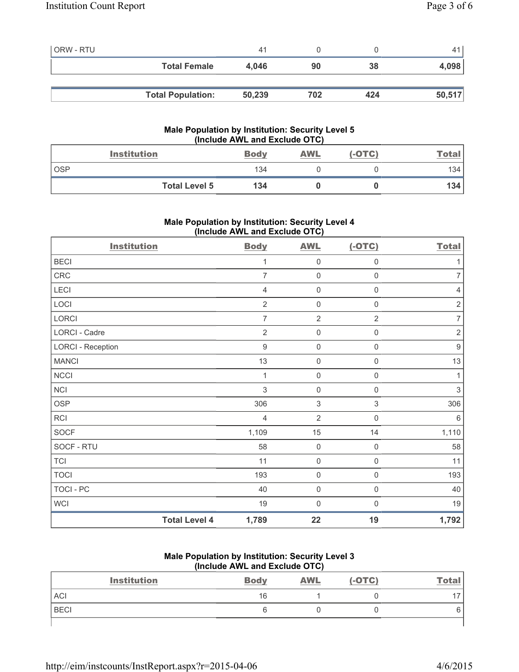| <b>ORW - RTU</b> |                          | 41     |     |     |        |
|------------------|--------------------------|--------|-----|-----|--------|
|                  | <b>Total Female</b>      | 4.046  | 90  | 38  | 4,098  |
|                  |                          |        |     |     |        |
|                  | <b>Total Population:</b> | 50,239 | 702 | 424 | 50,517 |

## **Male Population by Institution: Security Level 5 (Include AWL and Exclude OTC)**

|            | <b>Institution</b>   | <b>Body</b> | <b>AWL</b> | $(-OTC)$ | <u>Total</u> |
|------------|----------------------|-------------|------------|----------|--------------|
| <b>OSP</b> |                      | 134         |            |          | 134          |
|            | <b>Total Level 5</b> | 134         |            |          | 134          |

# **Male Population by Institution: Security Level 4 (Include AWL and Exclude OTC)**

| <b>Institution</b>       |                      | <b>Body</b>    | <b>AWL</b>          | $(-OTC)$            | <b>Total</b>              |
|--------------------------|----------------------|----------------|---------------------|---------------------|---------------------------|
| <b>BECI</b>              |                      | 1              | $\mathsf{O}\xspace$ | $\boldsymbol{0}$    | 1                         |
| CRC                      |                      | $\overline{7}$ | $\mathsf{O}\xspace$ | $\mathsf{O}\xspace$ | $\overline{7}$            |
| LECI                     |                      | $\overline{4}$ | 0                   | 0                   | 4                         |
| LOCI                     |                      | $\overline{2}$ | $\mathsf{O}\xspace$ | $\boldsymbol{0}$    | $\sqrt{2}$                |
| LORCI                    |                      | $\overline{7}$ | $\overline{2}$      | $\overline{2}$      | $\overline{7}$            |
| LORCI - Cadre            |                      | $\overline{2}$ | 0                   | $\mathsf{O}\xspace$ | $\sqrt{2}$                |
| <b>LORCI - Reception</b> |                      | $9$            | 0                   | $\mathsf 0$         | $\boldsymbol{9}$          |
| <b>MANCI</b>             |                      | 13             | $\mathsf{O}\xspace$ | $\mathsf{O}\xspace$ | 13                        |
| <b>NCCI</b>              |                      | $\mathbf{1}$   | $\mathsf{O}\xspace$ | $\mathsf{O}\xspace$ | $\mathbf{1}$              |
| <b>NCI</b>               |                      | 3              | 0                   | 0                   | $\ensuremath{\mathsf{3}}$ |
| <b>OSP</b>               |                      | 306            | 3                   | 3                   | 306                       |
| RCI                      |                      | $\overline{4}$ | $\overline{2}$      | $\mathsf 0$         | 6                         |
| <b>SOCF</b>              |                      | 1,109          | 15                  | 14                  | 1,110                     |
| SOCF - RTU               |                      | 58             | 0                   | $\mathbf 0$         | 58                        |
| <b>TCI</b>               |                      | 11             | $\mathsf{O}\xspace$ | $\mathsf{O}\xspace$ | 11                        |
| <b>TOCI</b>              |                      | 193            | $\mathsf{O}\xspace$ | $\mathsf 0$         | 193                       |
| TOCI - PC                |                      | 40             | $\mathsf{O}\xspace$ | $\mathsf{O}\xspace$ | 40                        |
| WCI                      |                      | 19             | $\mathbf 0$         | $\mathbf 0$         | 19                        |
|                          | <b>Total Level 4</b> | 1,789          | 22                  | 19                  | 1,792                     |

## **Male Population by Institution: Security Level 3 (Include AWL and Exclude OTC)**

| <b>Institution</b> | <b>Body</b> | <b>AWL</b> | $(-OTC)$ | <b>Total</b> |
|--------------------|-------------|------------|----------|--------------|
| <b>ACI</b>         | 16          |            |          |              |
| <b>BECI</b>        |             |            |          |              |
|                    |             |            |          |              |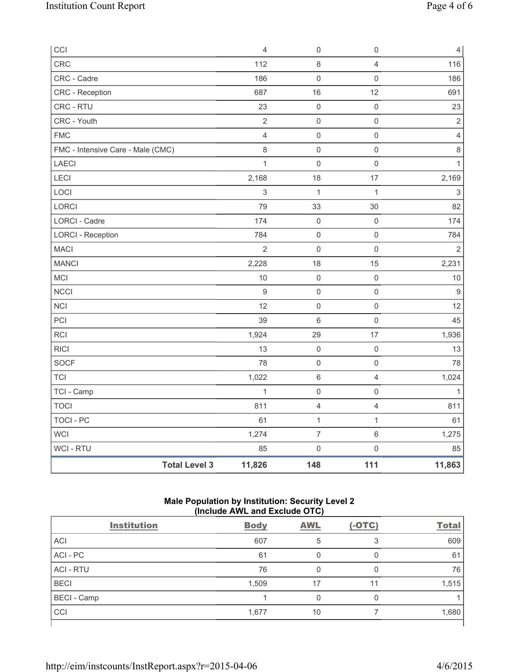| CCI                               |                      | $\overline{4}$ | 0                       | $\mathsf 0$         | $\overline{4}$   |
|-----------------------------------|----------------------|----------------|-------------------------|---------------------|------------------|
| <b>CRC</b>                        |                      | 112            | 8                       | 4                   | 116              |
| CRC - Cadre                       |                      | 186            | $\mathsf{O}\xspace$     | $\mathbf 0$         | 186              |
| CRC - Reception                   |                      | 687            | 16                      | 12                  | 691              |
| CRC - RTU                         |                      | 23             | $\mathsf{O}\xspace$     | $\mathsf{O}\xspace$ | 23               |
| CRC - Youth                       |                      | $\sqrt{2}$     | $\mathsf{O}\xspace$     | $\mathsf 0$         | $\sqrt{2}$       |
| <b>FMC</b>                        |                      | $\overline{4}$ | $\mathsf{O}\xspace$     | $\mathsf 0$         | $\overline{4}$   |
| FMC - Intensive Care - Male (CMC) |                      | 8              | $\mathsf{O}\xspace$     | $\mathsf 0$         | $\,8\,$          |
| <b>LAECI</b>                      |                      | $\mathbf{1}$   | $\mathsf{O}\xspace$     | $\mathsf{O}\xspace$ | $\mathbf{1}$     |
| LECI                              |                      | 2,168          | 18                      | 17                  | 2,169            |
| LOCI                              |                      | $\mathsf 3$    | 1                       | $\mathbf{1}$        | $\sqrt{3}$       |
| LORCI                             |                      | 79             | 33                      | 30                  | 82               |
| LORCI - Cadre                     |                      | 174            | $\mathsf{O}\xspace$     | $\mathsf{O}\xspace$ | 174              |
| <b>LORCI - Reception</b>          |                      | 784            | $\mathsf{O}\xspace$     | $\mathbf 0$         | 784              |
| <b>MACI</b>                       |                      | $\overline{2}$ | $\mathsf{O}\xspace$     | $\mathsf{O}\xspace$ | $\overline{2}$   |
| <b>MANCI</b>                      |                      | 2,228          | 18                      | 15                  | 2,231            |
| MCI                               |                      | 10             | $\mathsf{O}\xspace$     | $\mathsf{O}\xspace$ | 10               |
| <b>NCCI</b>                       |                      | $\mathsf g$    | $\mathsf{O}\xspace$     | $\mathsf{O}\xspace$ | $\boldsymbol{9}$ |
| <b>NCI</b>                        |                      | 12             | $\mathsf{O}\xspace$     | $\mathsf{O}\xspace$ | 12               |
| PCI                               |                      | 39             | $\,6\,$                 | $\mathsf 0$         | 45               |
| RCI                               |                      | 1,924          | 29                      | 17                  | 1,936            |
| <b>RICI</b>                       |                      | 13             | $\mathsf{O}\xspace$     | $\mathsf 0$         | 13               |
| SOCF                              |                      | 78             | $\mathsf{O}\xspace$     | $\mathsf{O}\xspace$ | 78               |
| <b>TCI</b>                        |                      | 1,022          | $\,6\,$                 | $\overline{4}$      | 1,024            |
| TCI - Camp                        |                      | $\mathbf{1}$   | $\mathsf{O}\xspace$     | $\mathsf{O}\xspace$ | $\mathbf{1}$     |
| <b>TOCI</b>                       |                      | 811            | $\overline{\mathbf{4}}$ | $\overline{4}$      | 811              |
| <b>TOCI - PC</b>                  |                      | 61             | $\mathbf{1}$            | $\mathbf{1}$        | 61               |
| <b>WCI</b>                        |                      | 1,274          | $\overline{7}$          | $6\,$               | 1,275            |
| <b>WCI-RTU</b>                    |                      | 85             | $\mathsf 0$             | $\mathsf{O}\xspace$ | 85               |
|                                   | <b>Total Level 3</b> | 11,826         | 148                     | 111                 | 11,863           |

# **Male Population by Institution: Security Level 2 (Include AWL and Exclude OTC)**

| <b>Institution</b> | <b>Body</b> | <b>AWL</b> | $(-OTC)$ | <b>Total</b> |  |
|--------------------|-------------|------------|----------|--------------|--|
| <b>ACI</b>         | 607         | 5          |          | 609          |  |
| ACI-PC             | 61          |            | 0        | 61           |  |
| <b>ACI - RTU</b>   | 76          | 0          | 0        | 76           |  |
| <b>BECI</b>        | 1,509       | 17         | 11       | 1,515        |  |
| <b>BECI</b> - Camp |             |            | 0        |              |  |
| CCI                | 1,677       | 10         |          | 1,680        |  |
|                    |             |            |          |              |  |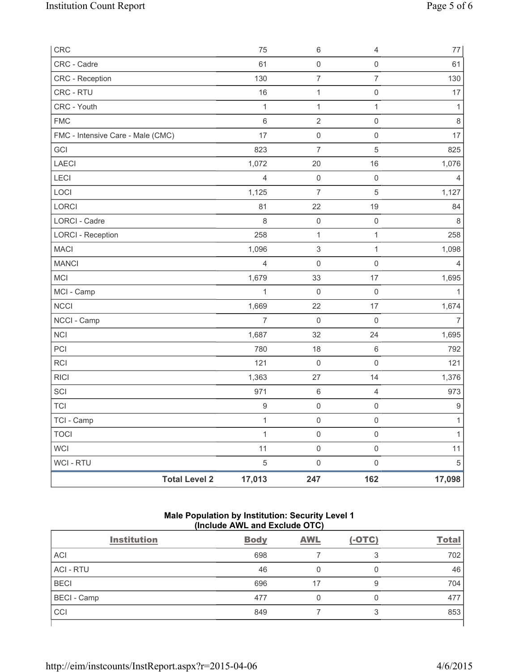| CRC                               |                      | 75               | $\,6\,$                   | 4                   | $77\,$         |
|-----------------------------------|----------------------|------------------|---------------------------|---------------------|----------------|
| CRC - Cadre                       |                      | 61               | $\mathsf{O}\xspace$       | $\mathsf{O}\xspace$ | 61             |
| CRC - Reception                   |                      | 130              | $\boldsymbol{7}$          | $\overline{7}$      | 130            |
| CRC - RTU                         |                      | 16               | $\mathbf{1}$              | $\mathsf{O}\xspace$ | $17$           |
| CRC - Youth                       |                      | $\mathbf{1}$     | $\mathbf{1}$              | $\mathbf{1}$        | $\mathbf{1}$   |
| <b>FMC</b>                        |                      | $\,6$            | $\overline{2}$            | $\mathsf{O}\xspace$ | $\,8\,$        |
| FMC - Intensive Care - Male (CMC) |                      | 17               | $\mathsf 0$               | $\mathsf{O}\xspace$ | 17             |
| GCI                               |                      | 823              | $\overline{7}$            | $\,$ 5 $\,$         | 825            |
| LAECI                             |                      | 1,072            | 20                        | 16                  | 1,076          |
| LECI                              |                      | $\overline{4}$   | $\mathsf 0$               | $\mathsf 0$         | 4              |
| LOCI                              |                      | 1,125            | $\overline{7}$            | $\,$ 5 $\,$         | 1,127          |
| <b>LORCI</b>                      |                      | 81               | 22                        | 19                  | 84             |
| LORCI - Cadre                     |                      | 8                | $\mathsf{O}\xspace$       | $\mathsf{O}\xspace$ | 8              |
| <b>LORCI - Reception</b>          |                      | 258              | $\mathbf{1}$              | $\mathbf{1}$        | 258            |
| <b>MACI</b>                       |                      | 1,096            | $\ensuremath{\mathsf{3}}$ | $\mathbf{1}$        | 1,098          |
| <b>MANCI</b>                      |                      | $\overline{4}$   | $\mathbf 0$               | $\mathsf{O}\xspace$ | 4              |
| MCI                               |                      | 1,679            | 33                        | 17                  | 1,695          |
| MCI - Camp                        |                      | $\mathbf{1}$     | $\mathsf{O}\xspace$       | $\mathsf 0$         | $\mathbf{1}$   |
| <b>NCCI</b>                       |                      | 1,669            | 22                        | 17                  | 1,674          |
| NCCI - Camp                       |                      | $\overline{7}$   | $\mathsf{O}\xspace$       | $\mathsf 0$         | $\overline{7}$ |
| <b>NCI</b>                        |                      | 1,687            | 32                        | 24                  | 1,695          |
| PCI                               |                      | 780              | 18                        | $\,6\,$             | 792            |
| <b>RCI</b>                        |                      | 121              | $\mathsf{O}\xspace$       | $\mathsf{O}\xspace$ | 121            |
| <b>RICI</b>                       |                      | 1,363            | 27                        | 14                  | 1,376          |
| SCI                               |                      | 971              | $\,6\,$                   | $\overline{4}$      | 973            |
| <b>TCI</b>                        |                      | $\boldsymbol{9}$ | $\mathsf{O}\xspace$       | $\mathsf{O}\xspace$ | 9              |
| TCI - Camp                        |                      | $\mathbf{1}$     | $\mathsf 0$               | $\mathsf{O}\xspace$ | $\mathbf{1}$   |
| <b>TOCI</b>                       |                      | $\mathbf{1}$     | $\mathsf 0$               | $\mathsf{O}\xspace$ | $\mathbf{1}$   |
| <b>WCI</b>                        |                      | 11               | $\mathsf{O}\xspace$       | $\mathsf{O}\xspace$ | 11             |
| WCI - RTU                         |                      | $\sqrt{5}$       | $\mathsf{O}\xspace$       | $\mathsf{O}\xspace$ | $\,$ 5 $\,$    |
|                                   | <b>Total Level 2</b> | 17,013           | 247                       | 162                 | 17,098         |

## **Male Population by Institution: Security Level 1 (Include AWL and Exclude OTC)**

| <b>Institution</b> | <b>Body</b> | <b>AWL</b> | $(-OTC)$ | <b>Total</b> |
|--------------------|-------------|------------|----------|--------------|
| <b>ACI</b>         | 698         |            | 3        | 702          |
| <b>ACI - RTU</b>   | 46          |            | 0        | 46           |
| <b>BECI</b>        | 696         | 17         | 9        | 704          |
| <b>BECI</b> - Camp | 477         |            | 0        | 477          |
| CCI                | 849         |            | 3        | 853          |
|                    |             |            |          |              |